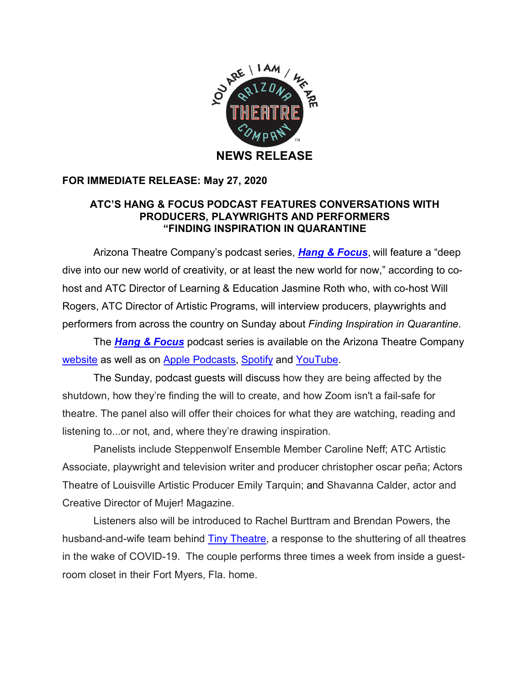

## **FOR IMMEDIATE RELEASE: May 27, 2020**

## **ATC'S HANG & FOCUS PODCAST FEATURES CONVERSATIONS WITH PRODUCERS, PLAYWRIGHTS AND PERFORMERS "FINDING INSPIRATION IN QUARANTINE**

Arizona Theatre Company's podcast series, *Hang & Focus*, will feature a "deep dive into our new world of creativity, or at least the new world for now," according to cohost and ATC Director of Learning & Education Jasmine Roth who, with co-host Will Rogers, ATC Director of Artistic Programs, will interview producers, playwrights and performers from across the country on Sunday about *Finding Inspiration in Quarantine*.

The *Hang & Focus* podcast series is available on the Arizona Theatre Company website as well as on Apple Podcasts, Spotify and YouTube.

The Sunday, podcast guests will discuss how they are being affected by the shutdown, how they're finding the will to create, and how Zoom isn't a fail-safe for theatre. The panel also will offer their choices for what they are watching, reading and listening to...or not, and, where they're drawing inspiration.

Panelists include Steppenwolf Ensemble Member Caroline Neff; ATC Artistic Associate, playwright and television writer and producer christopher oscar peña; Actors Theatre of Louisville Artistic Producer Emily Tarquin; and Shavanna Calder, actor and Creative Director of Mujer! Magazine.

Listeners also will be introduced to Rachel Burttram and Brendan Powers, the husband-and-wife team behind **Tiny Theatre**, a response to the shuttering of all theatres in the wake of COVID-19. The couple performs three times a week from inside a guestroom closet in their Fort Myers, Fla. home.